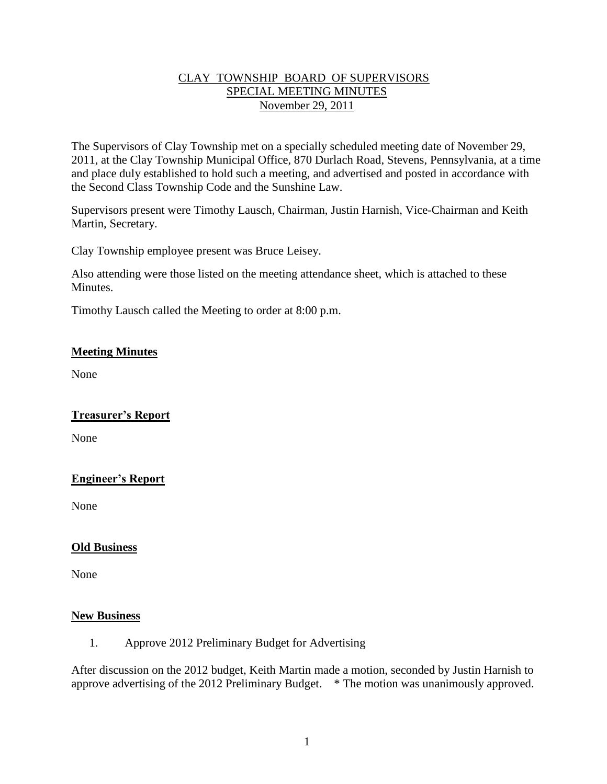## CLAY TOWNSHIP BOARD OF SUPERVISORS SPECIAL MEETING MINUTES November 29, 2011

The Supervisors of Clay Township met on a specially scheduled meeting date of November 29, 2011, at the Clay Township Municipal Office, 870 Durlach Road, Stevens, Pennsylvania, at a time and place duly established to hold such a meeting, and advertised and posted in accordance with the Second Class Township Code and the Sunshine Law.

Supervisors present were Timothy Lausch, Chairman, Justin Harnish, Vice-Chairman and Keith Martin, Secretary.

Clay Township employee present was Bruce Leisey.

Also attending were those listed on the meeting attendance sheet, which is attached to these Minutes.

Timothy Lausch called the Meeting to order at 8:00 p.m.

### **Meeting Minutes**

None

#### **Treasurer's Report**

None

## **Engineer's Report**

None

#### **Old Business**

None

#### **New Business**

1. Approve 2012 Preliminary Budget for Advertising

After discussion on the 2012 budget, Keith Martin made a motion, seconded by Justin Harnish to approve advertising of the 2012 Preliminary Budget. \* The motion was unanimously approved.